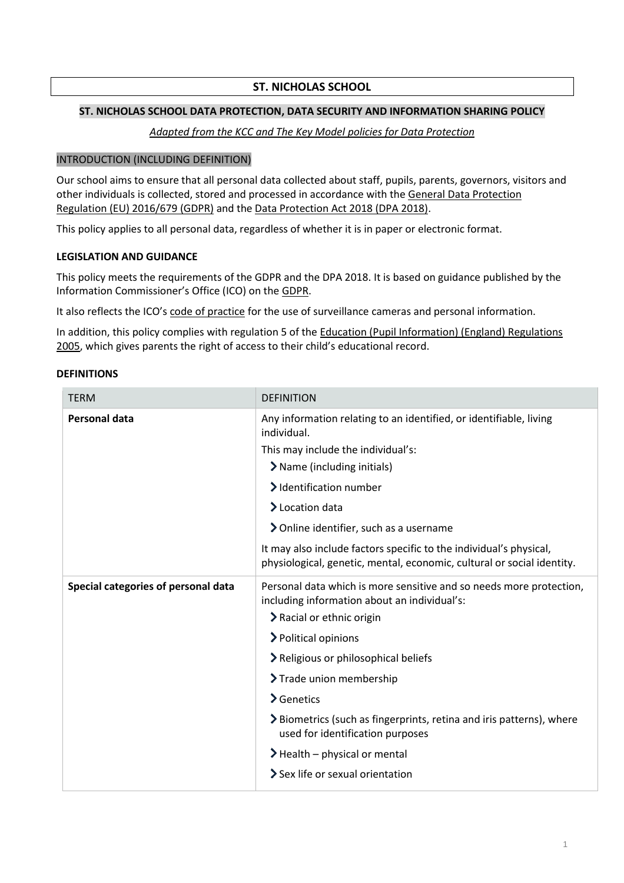# **ST. NICHOLAS SCHOOL**

### **ST. NICHOLAS SCHOOL DATA PROTECTION, DATA SECURITY AND INFORMATION SHARING POLICY**

### *Adapted from the KCC and The Key Model policies for Data Protection*

### INTRODUCTION (INCLUDING DEFINITION)

Our school aims to ensure that all personal data collected about staff, pupils, parents, governors, visitors and other individuals is collected, stored and processed in accordance with the [General Data Protection](https://eur-lex.europa.eu/legal-content/EN/TXT/?qid=1528874672298&uri=CELEX:02016R0679-20160504)  Regulation [\(EU\) 2016/679](https://eur-lex.europa.eu/legal-content/EN/TXT/?qid=1528874672298&uri=CELEX:02016R0679-20160504) (GDPR) and the Data [Protection Act 2018 \(DPA 2018\).](http://www.legislation.gov.uk/ukpga/2018/12/contents/enacted)

This policy applies to all personal data, regardless of whether it is in paper or electronic format.

### **LEGISLATION AND GUIDANCE**

This policy meets the requirements of the GDPR and the DPA 2018. It is based on guidance published by the Information Commissioner's Office (ICO) on the [GDPR.](https://ico.org.uk/for-organisations/guide-to-the-general-data-protection-regulation-gdpr/)

It also reflects the ICO's [code of practice](https://ico.org.uk/media/for-organisations/documents/1542/cctv-code-of-practice.pdf) for the use of surveillance cameras and personal information.

In addition, this policy complies with regulation 5 of the Education (Pupil Information) (England) Regulations [2005](http://www.legislation.gov.uk/uksi/2005/1437/regulation/5/made), which gives parents the right of access to their child's educational record.

### **DEFINITIONS**

| <b>TERM</b>                         | <b>DEFINITION</b>                                                                                                                            |
|-------------------------------------|----------------------------------------------------------------------------------------------------------------------------------------------|
| <b>Personal data</b>                | Any information relating to an identified, or identifiable, living<br>individual.                                                            |
|                                     | This may include the individual's:                                                                                                           |
|                                     | > Name (including initials)                                                                                                                  |
|                                     | > Identification number                                                                                                                      |
|                                     | $\blacktriangleright$ Location data                                                                                                          |
|                                     | > Online identifier, such as a username                                                                                                      |
|                                     | It may also include factors specific to the individual's physical,<br>physiological, genetic, mental, economic, cultural or social identity. |
| Special categories of personal data | Personal data which is more sensitive and so needs more protection,<br>including information about an individual's:                          |
|                                     | ▶ Racial or ethnic origin                                                                                                                    |
|                                     | > Political opinions                                                                                                                         |
|                                     | > Religious or philosophical beliefs                                                                                                         |
|                                     | > Trade union membership                                                                                                                     |
|                                     | $\sum$ Genetics                                                                                                                              |
|                                     | > Biometrics (such as fingerprints, retina and iris patterns), where<br>used for identification purposes                                     |
|                                     | $\blacktriangleright$ Health – physical or mental                                                                                            |
|                                     | Sex life or sexual orientation                                                                                                               |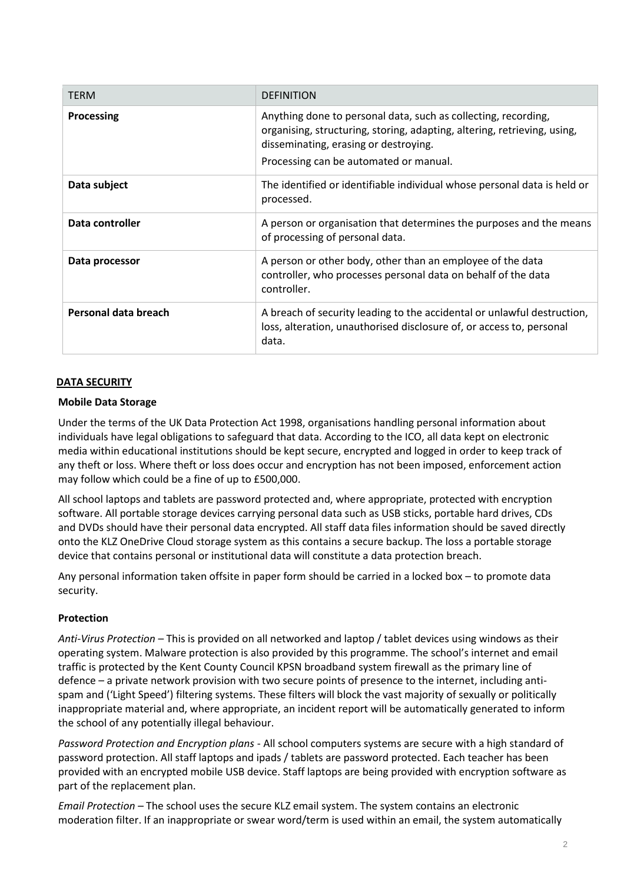| <b>TERM</b>          | <b>DEFINITION</b>                                                                                                                                                                                                             |
|----------------------|-------------------------------------------------------------------------------------------------------------------------------------------------------------------------------------------------------------------------------|
| Processing           | Anything done to personal data, such as collecting, recording,<br>organising, structuring, storing, adapting, altering, retrieving, using,<br>disseminating, erasing or destroying.<br>Processing can be automated or manual. |
| Data subject         | The identified or identifiable individual whose personal data is held or<br>processed.                                                                                                                                        |
| Data controller      | A person or organisation that determines the purposes and the means<br>of processing of personal data.                                                                                                                        |
| Data processor       | A person or other body, other than an employee of the data<br>controller, who processes personal data on behalf of the data<br>controller.                                                                                    |
| Personal data breach | A breach of security leading to the accidental or unlawful destruction,<br>loss, alteration, unauthorised disclosure of, or access to, personal<br>data.                                                                      |

# **DATA SECURITY**

### **Mobile Data Storage**

Under the terms of the UK Data Protection Act 1998, organisations handling personal information about individuals have legal obligations to safeguard that data. According to the ICO, all data kept on electronic media within educational institutions should be kept secure, encrypted and logged in order to keep track of any theft or loss. Where theft or loss does occur and encryption has not been imposed, enforcement action may follow which could be a fine of up to £500,000.

All school laptops and tablets are password protected and, where appropriate, protected with encryption software. All portable storage devices carrying personal data such as USB sticks, portable hard drives, CDs and DVDs should have their personal data encrypted. All staff data files information should be saved directly onto the KLZ OneDrive Cloud storage system as this contains a secure backup. The loss a portable storage device that contains personal or institutional data will constitute a data protection breach.

Any personal information taken offsite in paper form should be carried in a locked box – to promote data security.

### **Protection**

*Anti-Virus Protection* – This is provided on all networked and laptop / tablet devices using windows as their operating system. Malware protection is also provided by this programme. The school's internet and email traffic is protected by the Kent County Council KPSN broadband system firewall as the primary line of defence – a private network provision with two secure points of presence to the internet, including antispam and ('Light Speed') filtering systems. These filters will block the vast majority of sexually or politically inappropriate material and, where appropriate, an incident report will be automatically generated to inform the school of any potentially illegal behaviour.

*Password Protection and Encryption plans* - All school computers systems are secure with a high standard of password protection. All staff laptops and ipads / tablets are password protected. Each teacher has been provided with an encrypted mobile USB device. Staff laptops are being provided with encryption software as part of the replacement plan.

*Email Protection –* The school uses the secure KLZ email system. The system contains an electronic moderation filter. If an inappropriate or swear word/term is used within an email, the system automatically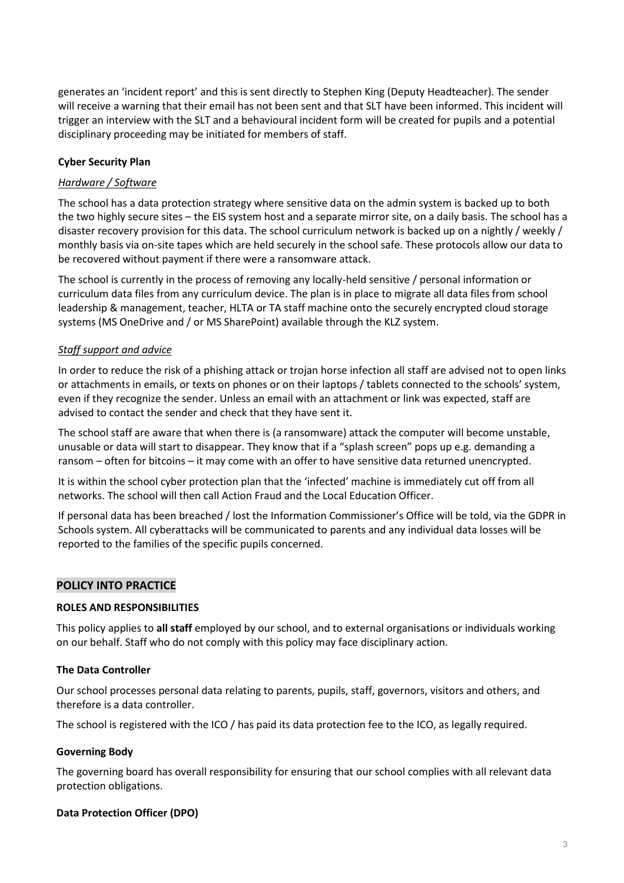generates an 'incident report' and this is sent directly to Stephen King (Deputy Headteacher). The sender will receive a warning that their email has not been sent and that SLT have been informed. This incident will trigger an interview with the SLT and a behavioural incident form will be created for pupils and a potential disciplinary proceeding may be initiated for members of staff.

### **Cyber Security Plan**

### *Hardware / Software*

The school has a data protection strategy where sensitive data on the admin system is backed up to both the two highly secure sites – the EIS system host and a separate mirror site, on a daily basis. The school has a disaster recovery provision for this data. The school curriculum network is backed up on a nightly / weekly / monthly basis via on-site tapes which are held securely in the school safe. These protocols allow our data to be recovered without payment if there were a ransomware attack.

The school is currently in the process of removing any locally-held sensitive / personal information or curriculum data files from any curriculum device. The plan is in place to migrate all data files from school leadership & management, teacher, HLTA or TA staff machine onto the securely encrypted cloud storage systems (MS OneDrive and / or MS SharePoint) available through the KLZ system.

### *Staff support and advice*

In order to reduce the risk of a phishing attack or trojan horse infection all staff are advised not to open links or attachments in emails, or texts on phones or on their laptops / tablets connected to the schools' system, even if they recognize the sender. Unless an email with an attachment or link was expected, staff are advised to contact the sender and check that they have sent it.

The school staff are aware that when there is (a ransomware) attack the computer will become unstable, unusable or data will start to disappear. They know that if a "splash screen" pops up e.g. demanding a ransom – often for bitcoins – it may come with an offer to have sensitive data returned unencrypted.

It is within the school cyber protection plan that the 'infected' machine is immediately cut off from all networks. The school will then call Action Fraud and the Local Education Officer.

If personal data has been breached / lost the Information Commissioner's Office will be told, via the GDPR in Schools system. All cyberattacks will be communicated to parents and any individual data losses will be reported to the families of the specific pupils concerned.

### **POLICY INTO PRACTICE**

### **ROLES AND RESPONSIBILITIES**

This policy applies to **all staff** employed by our school, and to external organisations or individuals working on our behalf. Staff who do not comply with this policy may face disciplinary action.

### **The Data Controller**

Our school processes personal data relating to parents, pupils, staff, governors, visitors and others, and therefore is a data controller.

The school is registered with the ICO / has paid its data protection fee to the ICO, as legally required.

### **Governing Body**

The governing board has overall responsibility for ensuring that our school complies with all relevant data protection obligations.

### **Data Protection Officer (DPO)**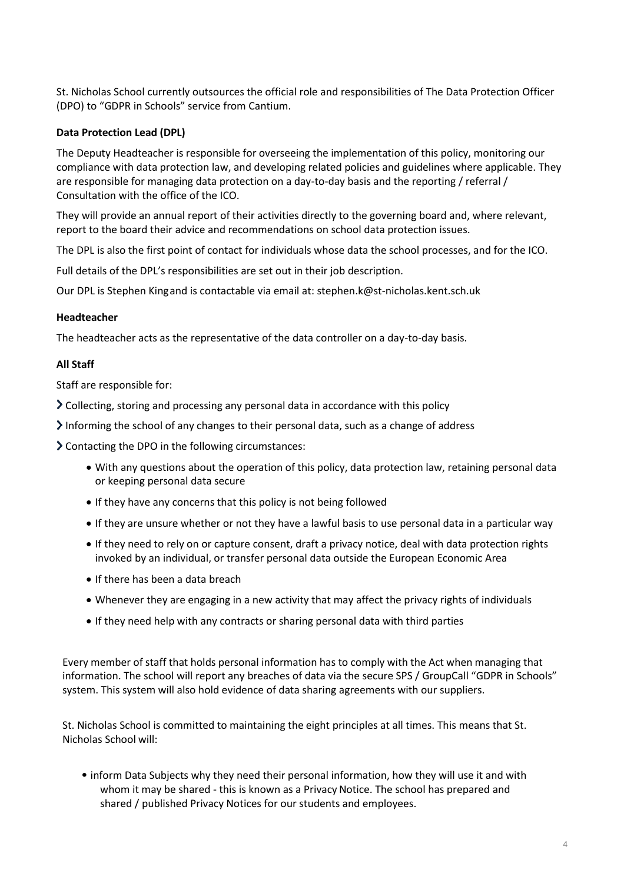St. Nicholas School currently outsources the official role and responsibilities of The Data Protection Officer (DPO) to "GDPR in Schools" service from Cantium.

### **Data Protection Lead (DPL)**

The Deputy Headteacher is responsible for overseeing the implementation of this policy, monitoring our compliance with data protection law, and developing related policies and guidelines where applicable. They are responsible for managing data protection on a day-to-day basis and the reporting / referral / Consultation with the office of the ICO.

They will provide an annual report of their activities directly to the governing board and, where relevant, report to the board their advice and recommendations on school data protection issues.

The DPL is also the first point of contact for individuals whose data the school processes, and for the ICO.

Full details of the DPL's responsibilities are set out in their job description.

Our DPL is Stephen Kingand is contactable via email at: stephen.k@st-nicholas.kent.sch.uk

### **Headteacher**

The headteacher acts as the representative of the data controller on a day-to-day basis.

### **All Staff**

Staff are responsible for:

- Collecting, storing and processing any personal data in accordance with this policy
- Informing the school of any changes to their personal data, such as a change of address

Contacting the DPO in the following circumstances:

- With any questions about the operation of this policy, data protection law, retaining personal data or keeping personal data secure
- If they have any concerns that this policy is not being followed
- If they are unsure whether or not they have a lawful basis to use personal data in a particular way
- If they need to rely on or capture consent, draft a privacy notice, deal with data protection rights invoked by an individual, or transfer personal data outside the European Economic Area
- If there has been a data breach
- Whenever they are engaging in a new activity that may affect the privacy rights of individuals
- If they need help with any contracts or sharing personal data with third parties

Every member of staff that holds personal information has to comply with the Act when managing that information. The school will report any breaches of data via the secure SPS / GroupCall "GDPR in Schools" system. This system will also hold evidence of data sharing agreements with our suppliers.

St. Nicholas School is committed to maintaining the eight principles at all times. This means that St. Nicholas School will:

• inform Data Subjects why they need their personal information, how they will use it and with whom it may be shared - this is known as a Privacy Notice. The school has prepared and shared / published Privacy Notices for our students and employees.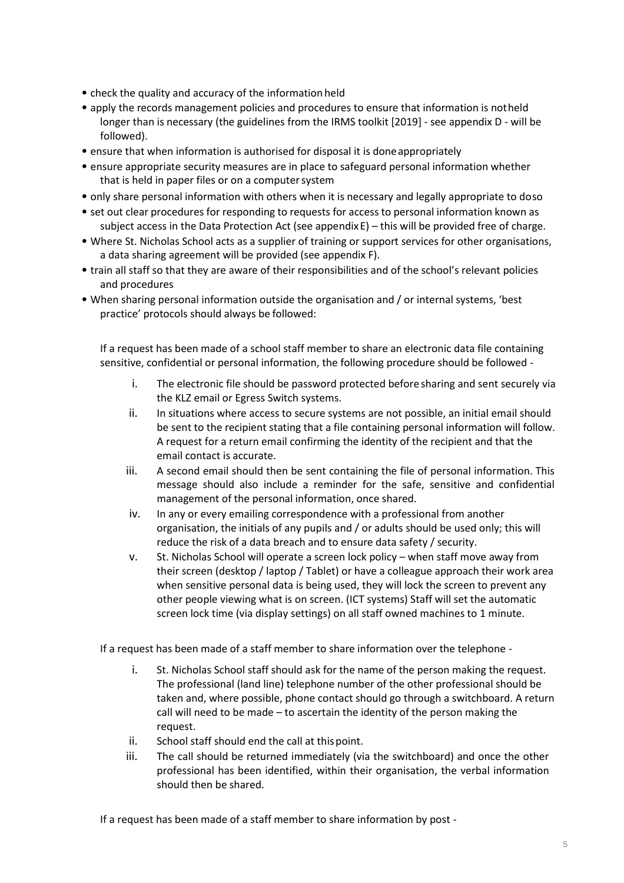- check the quality and accuracy of the information held
- apply the records management policies and procedures to ensure that information is notheld longer than is necessary (the guidelines from the IRMS toolkit [2019] - see appendix D - will be followed).
- ensure that when information is authorised for disposal it is doneappropriately
- ensure appropriate security measures are in place to safeguard personal information whether that is held in paper files or on a computersystem
- only share personal information with others when it is necessary and legally appropriate to doso
- set out clear procedures for responding to requests for access to personal information known as subject access in the Data Protection Act (see appendix  $E$ ) – this will be provided free of charge.
- Where St. Nicholas School acts as a supplier of training or support services for other organisations, a data sharing agreement will be provided (see appendix F).
- train all staff so that they are aware of their responsibilities and of the school's relevant policies and procedures
- When sharing personal information outside the organisation and / or internal systems, 'best practice' protocols should always be followed:

If a request has been made of a school staff member to share an electronic data file containing sensitive, confidential or personal information, the following procedure should be followed -

- i. The electronic file should be password protected before sharing and sent securely via the KLZ email or Egress Switch systems.
- ii. In situations where access to secure systems are not possible, an initial email should be sent to the recipient stating that a file containing personal information will follow. A request for a return email confirming the identity of the recipient and that the email contact is accurate.
- iii. A second email should then be sent containing the file of personal information. This message should also include a reminder for the safe, sensitive and confidential management of the personal information, once shared.
- iv. In any or every emailing correspondence with a professional from another organisation, the initials of any pupils and / or adults should be used only; this will reduce the risk of a data breach and to ensure data safety / security.
- v. St. Nicholas School will operate a screen lock policy when staff move away from their screen (desktop / laptop / Tablet) or have a colleague approach their work area when sensitive personal data is being used, they will lock the screen to prevent any other people viewing what is on screen. (ICT systems) Staff will set the automatic screen lock time (via display settings) on all staff owned machines to 1 minute.

If a request has been made of a staff member to share information over the telephone -

- i. St. Nicholas School staff should ask for the name of the person making the request. The professional (land line) telephone number of the other professional should be taken and, where possible, phone contact should go through a switchboard. A return call will need to be made – to ascertain the identity of the person making the request.
- ii. School staff should end the call at this point.
- iii. The call should be returned immediately (via the switchboard) and once the other professional has been identified, within their organisation, the verbal information should then be shared.

If a request has been made of a staff member to share information by post -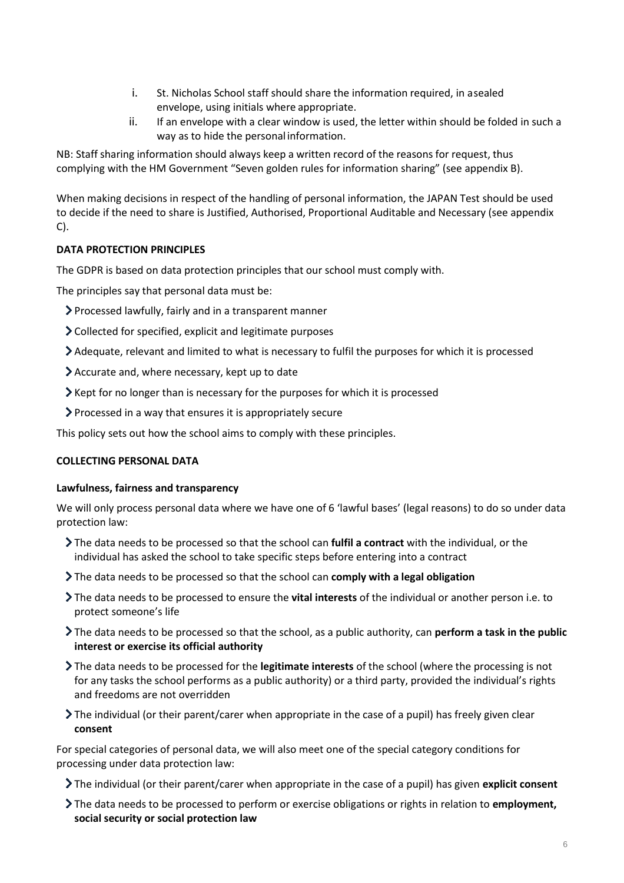- i. St. Nicholas School staff should share the information required, in asealed envelope, using initials where appropriate.
- ii. If an envelope with a clear window is used, the letter within should be folded in such a way as to hide the personal information.

NB: Staff sharing information should always keep a written record of the reasons for request, thus complying with the HM Government "Seven golden rules for information sharing" (see appendix B).

When making decisions in respect of the handling of personal information, the JAPAN Test should be used to decide if the need to share is Justified, Authorised, Proportional Auditable and Necessary (see appendix  $C$ ).

# **DATA PROTECTION PRINCIPLES**

The GDPR is based on data protection principles that our school must comply with.

The principles say that personal data must be:

- Processed lawfully, fairly and in a transparent manner
- Collected for specified, explicit and legitimate purposes
- Adequate, relevant and limited to what is necessary to fulfil the purposes for which it is processed
- Accurate and, where necessary, kept up to date
- Kept for no longer than is necessary for the purposes for which it is processed
- Processed in a way that ensures it is appropriately secure

This policy sets out how the school aims to comply with these principles.

### **COLLECTING PERSONAL DATA**

### **Lawfulness, fairness and transparency**

We will only process personal data where we have one of 6 'lawful bases' (legal reasons) to do so under data protection law:

- The data needs to be processed so that the school can **fulfil a contract** with the individual, or the individual has asked the school to take specific steps before entering into a contract
- The data needs to be processed so that the school can **comply with a legal obligation**
- The data needs to be processed to ensure the **vital interests** of the individual or another person i.e. to protect someone's life
- The data needs to be processed so that the school, as a public authority, can **perform a task in the public interest or exercise its official authority**
- The data needs to be processed for the **legitimate interests** of the school (where the processing is not for any tasks the school performs as a public authority) or a third party, provided the individual's rights and freedoms are not overridden
- The individual (or their parent/carer when appropriate in the case of a pupil) has freely given clear **consent**

For special categories of personal data, we will also meet one of the special category conditions for processing under data protection law:

- The individual (or their parent/carer when appropriate in the case of a pupil) has given **explicit consent**
- The data needs to be processed to perform or exercise obligations or rights in relation to **employment, social security or social protection law**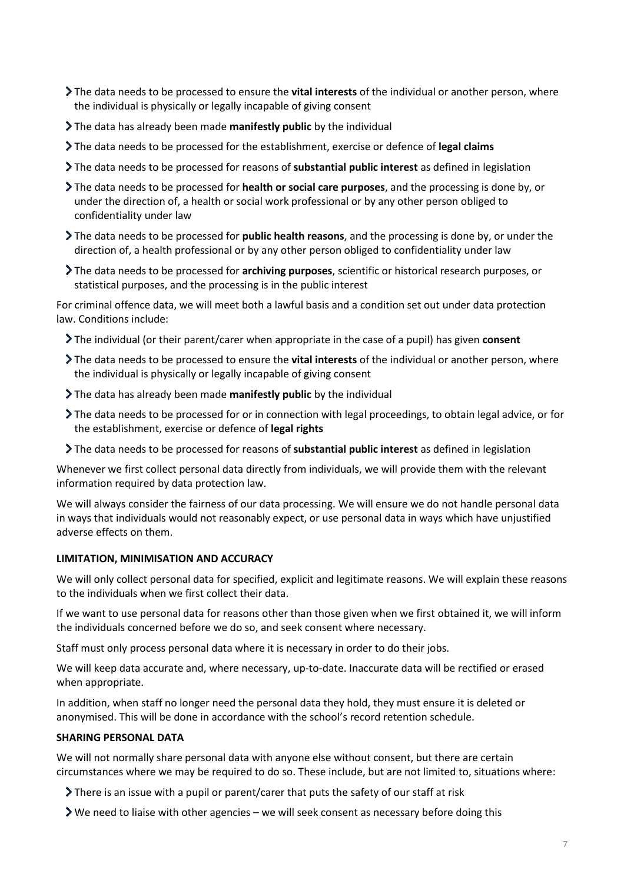- The data needs to be processed to ensure the **vital interests** of the individual or another person, where the individual is physically or legally incapable of giving consent
- The data has already been made **manifestly public** by the individual
- The data needs to be processed for the establishment, exercise or defence of **legal claims**
- The data needs to be processed for reasons of **substantial public interest** as defined in legislation
- The data needs to be processed for **health or social care purposes**, and the processing is done by, or under the direction of, a health or social work professional or by any other person obliged to confidentiality under law
- The data needs to be processed for **public health reasons**, and the processing is done by, or under the direction of, a health professional or by any other person obliged to confidentiality under law
- The data needs to be processed for **archiving purposes**, scientific or historical research purposes, or statistical purposes, and the processing is in the public interest

For criminal offence data, we will meet both a lawful basis and a condition set out under data protection law. Conditions include:

- The individual (or their parent/carer when appropriate in the case of a pupil) has given **consent**
- The data needs to be processed to ensure the **vital interests** of the individual or another person, where the individual is physically or legally incapable of giving consent
- The data has already been made **manifestly public** by the individual
- The data needs to be processed for or in connection with legal proceedings, to obtain legal advice, or for the establishment, exercise or defence of **legal rights**
- The data needs to be processed for reasons of **substantial public interest** as defined in legislation

Whenever we first collect personal data directly from individuals, we will provide them with the relevant information required by data protection law.

We will always consider the fairness of our data processing. We will ensure we do not handle personal data in ways that individuals would not reasonably expect, or use personal data in ways which have unjustified adverse effects on them.

### **LIMITATION, MINIMISATION AND ACCURACY**

We will only collect personal data for specified, explicit and legitimate reasons. We will explain these reasons to the individuals when we first collect their data.

If we want to use personal data for reasons other than those given when we first obtained it, we will inform the individuals concerned before we do so, and seek consent where necessary.

Staff must only process personal data where it is necessary in order to do their jobs.

We will keep data accurate and, where necessary, up-to-date. Inaccurate data will be rectified or erased when appropriate.

In addition, when staff no longer need the personal data they hold, they must ensure it is deleted or anonymised. This will be done in accordance with the school's record retention schedule.

#### **SHARING PERSONAL DATA**

We will not normally share personal data with anyone else without consent, but there are certain circumstances where we may be required to do so. These include, but are not limited to, situations where:

- There is an issue with a pupil or parent/carer that puts the safety of our staff at risk
- $\triangleright$  We need to liaise with other agencies we will seek consent as necessary before doing this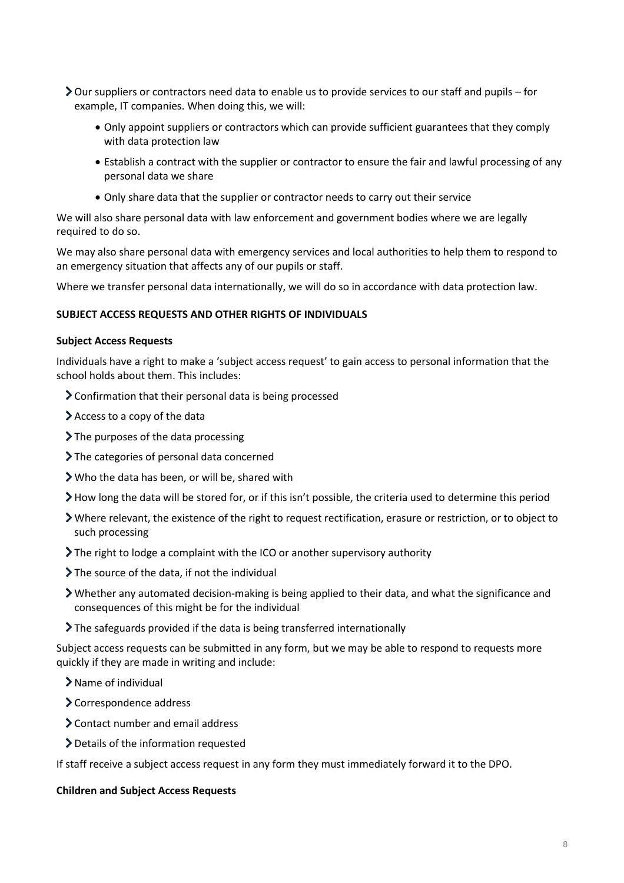- Our suppliers or contractors need data to enable us to provide services to our staff and pupils for example, IT companies. When doing this, we will:
	- Only appoint suppliers or contractors which can provide sufficient guarantees that they comply with data protection law
	- Establish a contract with the supplier or contractor to ensure the fair and lawful processing of any personal data we share
	- Only share data that the supplier or contractor needs to carry out their service

We will also share personal data with law enforcement and government bodies where we are legally required to do so.

We may also share personal data with emergency services and local authorities to help them to respond to an emergency situation that affects any of our pupils or staff.

Where we transfer personal data internationally, we will do so in accordance with data protection law.

### **SUBJECT ACCESS REQUESTS AND OTHER RIGHTS OF INDIVIDUALS**

### **Subject Access Requests**

Individuals have a right to make a 'subject access request' to gain access to personal information that the school holds about them. This includes:

- Confirmation that their personal data is being processed
- Access to a copy of the data
- $\sum$  The purposes of the data processing
- > The categories of personal data concerned
- Who the data has been, or will be, shared with
- How long the data will be stored for, or if this isn't possible, the criteria used to determine this period
- Where relevant, the existence of the right to request rectification, erasure or restriction, or to object to such processing
- The right to lodge a complaint with the ICO or another supervisory authority
- $\sum$  The source of the data, if not the individual
- Whether any automated decision-making is being applied to their data, and what the significance and consequences of this might be for the individual
- The safeguards provided if the data is being transferred internationally

Subject access requests can be submitted in any form, but we may be able to respond to requests more quickly if they are made in writing and include:

- > Name of individual
- Correspondence address
- Contact number and email address
- Details of the information requested

If staff receive a subject access request in any form they must immediately forward it to the DPO.

### **Children and Subject Access Requests**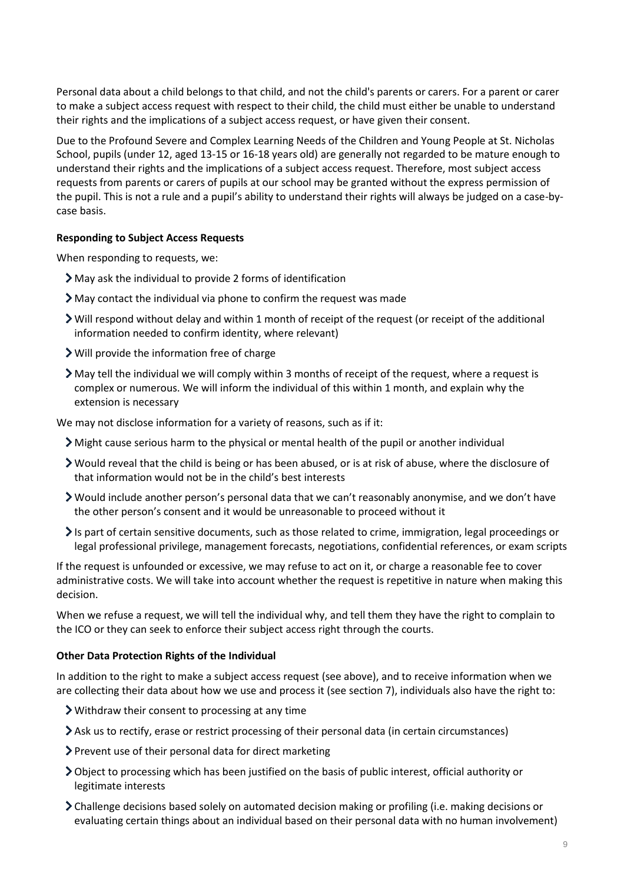Personal data about a child belongs to that child, and not the child's parents or carers. For a parent or carer to make a subject access request with respect to their child, the child must either be unable to understand their rights and the implications of a subject access request, or have given their consent.

Due to the Profound Severe and Complex Learning Needs of the Children and Young People at St. Nicholas School, pupils (under 12, aged 13-15 or 16-18 years old) are generally not regarded to be mature enough to understand their rights and the implications of a subject access request. Therefore, most subject access requests from parents or carers of pupils at our school may be granted without the express permission of the pupil. This is not a rule and a pupil's ability to understand their rights will always be judged on a case-bycase basis.

### **Responding to Subject Access Requests**

When responding to requests, we:

- May ask the individual to provide 2 forms of identification
- May contact the individual via phone to confirm the request was made
- Will respond without delay and within 1 month of receipt of the request (or receipt of the additional information needed to confirm identity, where relevant)
- Will provide the information free of charge
- May tell the individual we will comply within 3 months of receipt of the request, where a request is complex or numerous. We will inform the individual of this within 1 month, and explain why the extension is necessary

We may not disclose information for a variety of reasons, such as if it:

- Might cause serious harm to the physical or mental health of the pupil or another individual
- Would reveal that the child is being or has been abused, or is at risk of abuse, where the disclosure of that information would not be in the child's best interests
- Would include another person's personal data that we can't reasonably anonymise, and we don't have the other person's consent and it would be unreasonable to proceed without it
- If is part of certain sensitive documents, such as those related to crime, immigration, legal proceedings or legal professional privilege, management forecasts, negotiations, confidential references, or exam scripts

If the request is unfounded or excessive, we may refuse to act on it, or charge a reasonable fee to cover administrative costs. We will take into account whether the request is repetitive in nature when making this decision.

When we refuse a request, we will tell the individual why, and tell them they have the right to complain to the ICO or they can seek to enforce their subject access right through the courts.

### **Other Data Protection Rights of the Individual**

In addition to the right to make a subject access request (see above), and to receive information when we are collecting their data about how we use and process it (see section 7), individuals also have the right to:

- Withdraw their consent to processing at any time
- Ask us to rectify, erase or restrict processing of their personal data (in certain circumstances)
- Prevent use of their personal data for direct marketing
- Object to processing which has been justified on the basis of public interest, official authority or legitimate interests
- Challenge decisions based solely on automated decision making or profiling (i.e. making decisions or evaluating certain things about an individual based on their personal data with no human involvement)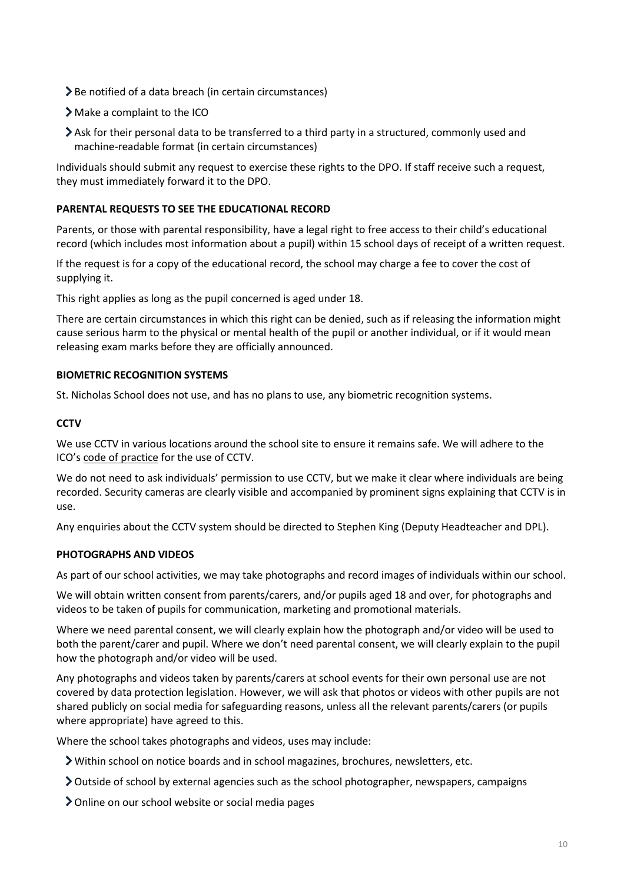- > Be notified of a data breach (in certain circumstances)
- Make a complaint to the ICO
- Ask for their personal data to be transferred to a third party in a structured, commonly used and machine-readable format (in certain circumstances)

Individuals should submit any request to exercise these rights to the DPO. If staff receive such a request, they must immediately forward it to the DPO.

# **PARENTAL REQUESTS TO SEE THE EDUCATIONAL RECORD**

Parents, or those with parental responsibility, have a legal right to free access to their child's educational record (which includes most information about a pupil) within 15 school days of receipt of a written request.

If the request is for a copy of the educational record, the school may charge a fee to cover the cost of supplying it.

This right applies as long as the pupil concerned is aged under 18.

There are certain circumstances in which this right can be denied, such as if releasing the information might cause serious harm to the physical or mental health of the pupil or another individual, or if it would mean releasing exam marks before they are officially announced.

# **BIOMETRIC RECOGNITION SYSTEMS**

St. Nicholas School does not use, and has no plans to use, any biometric recognition systems.

### **CCTV**

We use CCTV in various locations around the school site to ensure it remains safe. We will adhere to the ICO's [code of practice](https://ico.org.uk/media/for-organisations/documents/1542/cctv-code-of-practice.pdf) for the use of CCTV.

We do not need to ask individuals' permission to use CCTV, but we make it clear where individuals are being recorded. Security cameras are clearly visible and accompanied by prominent signs explaining that CCTV is in use.

Any enquiries about the CCTV system should be directed to Stephen King (Deputy Headteacher and DPL).

# **PHOTOGRAPHS AND VIDEOS**

As part of our school activities, we may take photographs and record images of individuals within our school.

We will obtain written consent from parents/carers, and/or pupils aged 18 and over, for photographs and videos to be taken of pupils for communication, marketing and promotional materials.

Where we need parental consent, we will clearly explain how the photograph and/or video will be used to both the parent/carer and pupil. Where we don't need parental consent, we will clearly explain to the pupil how the photograph and/or video will be used.

Any photographs and videos taken by parents/carers at school events for their own personal use are not covered by data protection legislation. However, we will ask that photos or videos with other pupils are not shared publicly on social media for safeguarding reasons, unless all the relevant parents/carers (or pupils where appropriate) have agreed to this.

Where the school takes photographs and videos, uses may include:

- Within school on notice boards and in school magazines, brochures, newsletters, etc.
- Outside of school by external agencies such as the school photographer, newspapers, campaigns
- Online on our school website or social media pages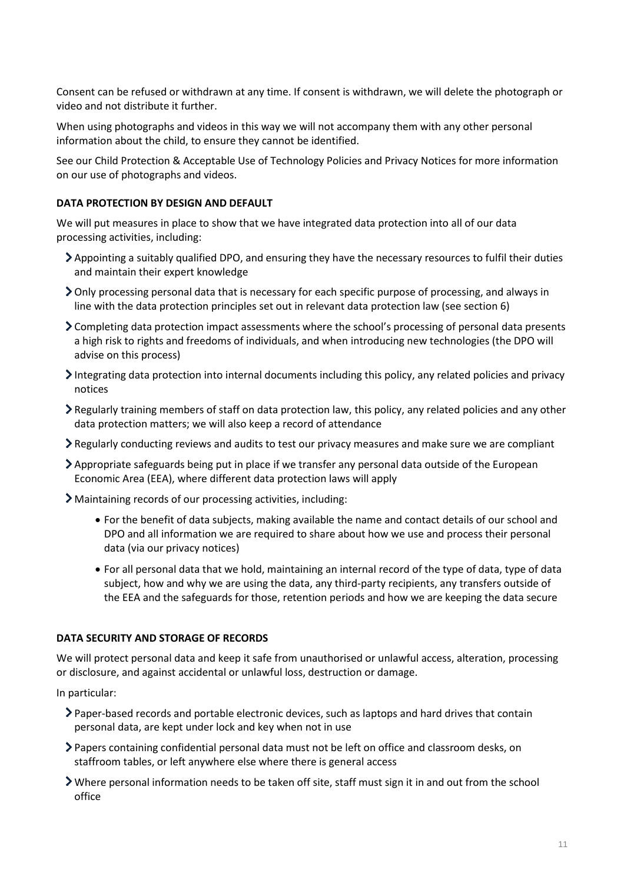Consent can be refused or withdrawn at any time. If consent is withdrawn, we will delete the photograph or video and not distribute it further.

When using photographs and videos in this way we will not accompany them with any other personal information about the child, to ensure they cannot be identified.

See our Child Protection & Acceptable Use of Technology Policies and Privacy Notices for more information on our use of photographs and videos.

### **DATA PROTECTION BY DESIGN AND DEFAULT**

We will put measures in place to show that we have integrated data protection into all of our data processing activities, including:

- Appointing a suitably qualified DPO, and ensuring they have the necessary resources to fulfil their duties and maintain their expert knowledge
- Only processing personal data that is necessary for each specific purpose of processing, and always in line with the data protection principles set out in relevant data protection law (see section 6)
- Completing data protection impact assessments where the school's processing of personal data presents a high risk to rights and freedoms of individuals, and when introducing new technologies (the DPO will advise on this process)
- Integrating data protection into internal documents including this policy, any related policies and privacy notices
- Regularly training members of staff on data protection law, this policy, any related policies and any other data protection matters; we will also keep a record of attendance
- Regularly conducting reviews and audits to test our privacy measures and make sure we are compliant
- Appropriate safeguards being put in place if we transfer any personal data outside of the European Economic Area (EEA), where different data protection laws will apply
- Maintaining records of our processing activities, including:
	- For the benefit of data subjects, making available the name and contact details of our school and DPO and all information we are required to share about how we use and process their personal data (via our privacy notices)
	- For all personal data that we hold, maintaining an internal record of the type of data, type of data subject, how and why we are using the data, any third-party recipients, any transfers outside of the EEA and the safeguards for those, retention periods and how we are keeping the data secure

#### **DATA SECURITY AND STORAGE OF RECORDS**

We will protect personal data and keep it safe from unauthorised or unlawful access, alteration, processing or disclosure, and against accidental or unlawful loss, destruction or damage.

In particular:

- Paper-based records and portable electronic devices, such as laptops and hard drives that contain personal data, are kept under lock and key when not in use
- Papers containing confidential personal data must not be left on office and classroom desks, on staffroom tables, or left anywhere else where there is general access
- Where personal information needs to be taken off site, staff must sign it in and out from the school office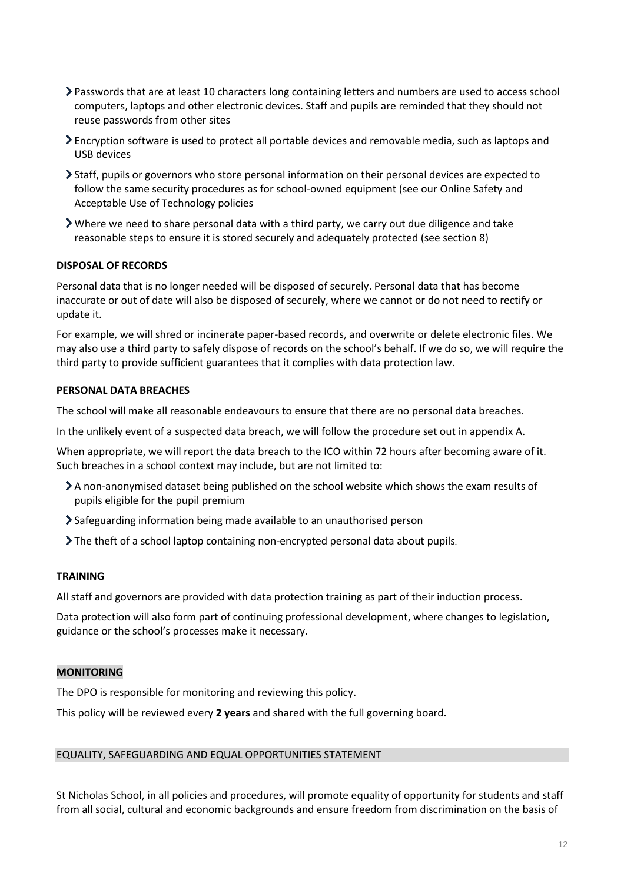- Passwords that are at least 10 characters long containing letters and numbers are used to access school computers, laptops and other electronic devices. Staff and pupils are reminded that they should not reuse passwords from other sites
- Encryption software is used to protect all portable devices and removable media, such as laptops and USB devices
- Staff, pupils or governors who store personal information on their personal devices are expected to follow the same security procedures as for school-owned equipment (see our Online Safety and Acceptable Use of Technology policies
- Where we need to share personal data with a third party, we carry out due diligence and take reasonable steps to ensure it is stored securely and adequately protected (see section 8)

### **DISPOSAL OF RECORDS**

Personal data that is no longer needed will be disposed of securely. Personal data that has become inaccurate or out of date will also be disposed of securely, where we cannot or do not need to rectify or update it.

For example, we will shred or incinerate paper-based records, and overwrite or delete electronic files. We may also use a third party to safely dispose of records on the school's behalf. If we do so, we will require the third party to provide sufficient guarantees that it complies with data protection law.

### **PERSONAL DATA BREACHES**

The school will make all reasonable endeavours to ensure that there are no personal data breaches.

In the unlikely event of a suspected data breach, we will follow the procedure set out in appendix A.

When appropriate, we will report the data breach to the ICO within 72 hours after becoming aware of it. Such breaches in a school context may include, but are not limited to:

- A non-anonymised dataset being published on the school website which shows the exam results of pupils eligible for the pupil premium
- Safeguarding information being made available to an unauthorised person
- $\sum$  The theft of a school laptop containing non-encrypted personal data about pupils.

### **TRAINING**

All staff and governors are provided with data protection training as part of their induction process.

Data protection will also form part of continuing professional development, where changes to legislation, guidance or the school's processes make it necessary.

### **MONITORING**

The DPO is responsible for monitoring and reviewing this policy.

This policy will be reviewed every **2 years** and shared with the full governing board.

### EQUALITY, SAFEGUARDING AND EQUAL OPPORTUNITIES STATEMENT

St Nicholas School, in all policies and procedures, will promote equality of opportunity for students and staff from all social, cultural and economic backgrounds and ensure freedom from discrimination on the basis of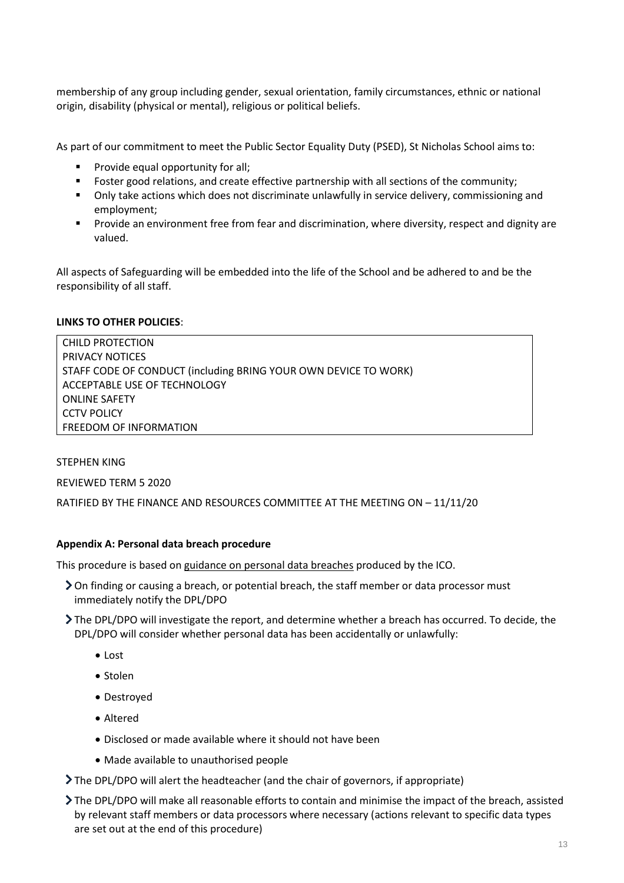membership of any group including gender, sexual orientation, family circumstances, ethnic or national origin, disability (physical or mental), religious or political beliefs.

As part of our commitment to meet the Public Sector Equality Duty (PSED), St Nicholas School aims to:

- Provide equal opportunity for all;
- **Foster good relations, and create effective partnership with all sections of the community;**
- Only take actions which does not discriminate unlawfully in service delivery, commissioning and employment;
- **Provide an environment free from fear and discrimination, where diversity, respect and dignity are** valued.

All aspects of Safeguarding will be embedded into the life of the School and be adhered to and be the responsibility of all staff.

### **LINKS TO OTHER POLICIES**:

CHILD PROTECTION PRIVACY NOTICES STAFF CODE OF CONDUCT (including BRING YOUR OWN DEVICE TO WORK) ACCEPTABLE USE OF TECHNOLOGY ONLINE SAFETY CCTV POLICY FREEDOM OF INFORMATION

### STEPHEN KING

REVIEWED TERM 5 2020

RATIFIED BY THE FINANCE AND RESOURCES COMMITTEE AT THE MEETING ON – 11/11/20

### **Appendix A: Personal data breach procedure**

This procedure is based o[n guidance on personal data breaches](https://ico.org.uk/for-organisations/guide-to-the-general-data-protection-regulation-gdpr/personal-data-breaches/) produced by the ICO.

- On finding or causing a breach, or potential breach, the staff member or data processor must immediately notify the DPL/DPO
- The DPL/DPO will investigate the report, and determine whether a breach has occurred. To decide, the DPL/DPO will consider whether personal data has been accidentally or unlawfully:
	- Lost
	- Stolen
	- Destroyed
	- Altered
	- Disclosed or made available where it should not have been
	- Made available to unauthorised people
- The DPL/DPO will alert the headteacher (and the chair of governors, if appropriate)
- The DPL/DPO will make all reasonable efforts to contain and minimise the impact of the breach, assisted by relevant staff members or data processors where necessary (actions relevant to specific data types are set out at the end of this procedure)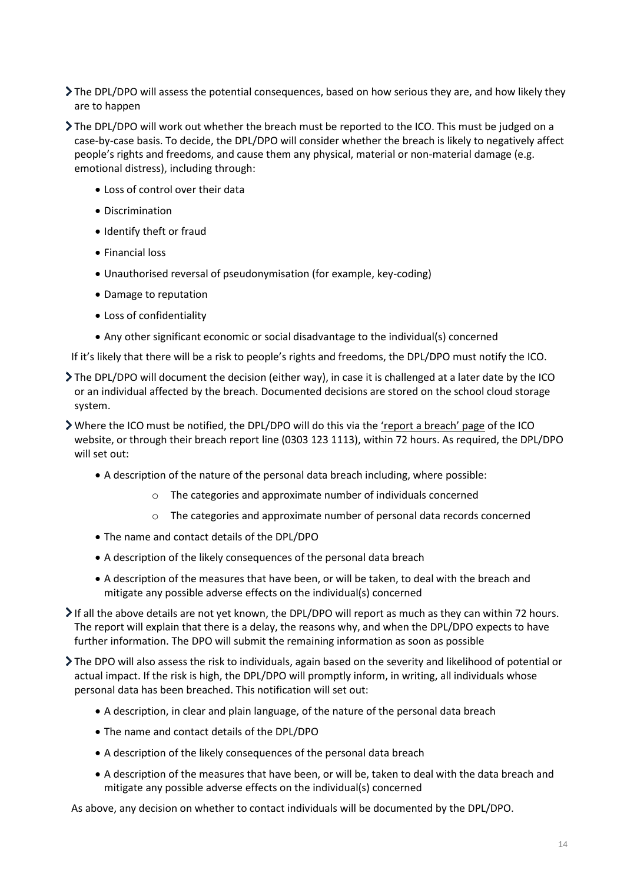- The DPL/DPO will assess the potential consequences, based on how serious they are, and how likely they are to happen
- The DPL/DPO will work out whether the breach must be reported to the ICO. This must be judged on a case-by-case basis. To decide, the DPL/DPO will consider whether the breach is likely to negatively affect people's rights and freedoms, and cause them any physical, material or non-material damage (e.g. emotional distress), including through:
	- Loss of control over their data
	- Discrimination
	- Identify theft or fraud
	- Financial loss
	- Unauthorised reversal of pseudonymisation (for example, key-coding)
	- Damage to reputation
	- Loss of confidentiality
	- Any other significant economic or social disadvantage to the individual(s) concerned

If it's likely that there will be a risk to people's rights and freedoms, the DPL/DPO must notify the ICO.

- The DPL/DPO will document the decision (either way), in case it is challenged at a later date by the ICO or an individual affected by the breach. Documented decisions are stored on the school cloud storage system.
- Where the ICO must be notified, the DPL/DPO will do this via the ['report a breach' page](https://ico.org.uk/for-organisations/report-a-breach/) of the ICO website, or through their breach report line (0303 123 1113), within 72 hours. As required, the DPL/DPO will set out:
	- A description of the nature of the personal data breach including, where possible:
		- o The categories and approximate number of individuals concerned
		- o The categories and approximate number of personal data records concerned
	- The name and contact details of the DPL/DPO
	- A description of the likely consequences of the personal data breach
	- A description of the measures that have been, or will be taken, to deal with the breach and mitigate any possible adverse effects on the individual(s) concerned
- If all the above details are not yet known, the DPL/DPO will report as much as they can within 72 hours. The report will explain that there is a delay, the reasons why, and when the DPL/DPO expects to have further information. The DPO will submit the remaining information as soon as possible

The DPO will also assess the risk to individuals, again based on the severity and likelihood of potential or actual impact. If the risk is high, the DPL/DPO will promptly inform, in writing, all individuals whose personal data has been breached. This notification will set out:

- A description, in clear and plain language, of the nature of the personal data breach
- The name and contact details of the DPL/DPO
- A description of the likely consequences of the personal data breach
- A description of the measures that have been, or will be, taken to deal with the data breach and mitigate any possible adverse effects on the individual(s) concerned

As above, any decision on whether to contact individuals will be documented by the DPL/DPO.